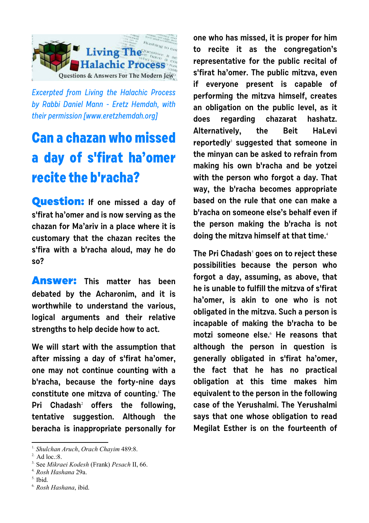

Excerpted from Living the Halachic Process by Rabbi Daniel Mann - Eretz Hemdah, with their permission [[www.eretzhemdah.org\]](http://www.eretzhemdah.org)

## **Can a chazan who missed a day of s'firat ha'omer recite the b'racha?**

**Question: If one missed a day of s'firat ha'omer and is now serving as the chazan for Ma'ariv in a place where it is customary that the chazan recites the s'fira with a b'racha aloud, may he do so?**

**Answer: This matter has been debated by the Acharonim, and it is worthwhile to understand the various, logical arguments and their relative strengths to help decide how to act.**

**We will start with the assumption that after missing a day of s'firat ha'omer, one may not continue counting with a b'racha, because the forty-nine days constitute one mitzva of counting.**<sup>1</sup>  **The Pri Chadash**<sup>2</sup>  **offers the following, tentative suggestion. Although the beracha is inappropriate personally for**

1. *Shulchan Aruch*, *Orach Chayim* 489:8.

 $<sup>5</sup>$ . Ibid.</sup>

**one who has missed, it is proper for him to recite it as the congregation's representative for the public recital of s'firat ha'omer. The public mitzva, even if everyone present is capable of performing the mitzva himself, creates an obligation on the public level, as it does regarding chazarat hashatz. Alternatively, the Beit HaLevi reportedly**<sup>3</sup>  **suggested that someone in the minyan can be asked to refrain from making his own b'racha and be yotzei with the person who forgot a day. That way, the b'racha becomes appropriate based on the rule that one can make a b'racha on someone else's behalf even if the person making the b'racha is not doing the mitzva himself at that time.**<sup>4</sup>

**The Pri Chadash**<sup>5</sup>  **goes on to reject these possibilities because the person who forgot a day, assuming, as above, that he is unable to fulfill the mitzva of s'firat ha'omer, is akin to one who is not obligated in the mitzva. Such a person is incapable of making the b'racha to be motzi someone else.**<sup>6</sup> **He reasons that although the person in question is generally obligated in s'firat ha'omer, the fact that he has no practical obligation at this time makes him equivalent to the person in the following case of the Yerushalmi. The Yerushalmi says that one whose obligation to read Megilat Esther is on the fourteenth of**

<sup>2.</sup> Ad loc.:8.

<sup>3.</sup> See *Mikraei Kodesh* (Frank) *Pesach* II, 66.

<sup>4.</sup> *Rosh Hashana* 29a.

<sup>6.</sup> *Rosh Hashana*, ibid.